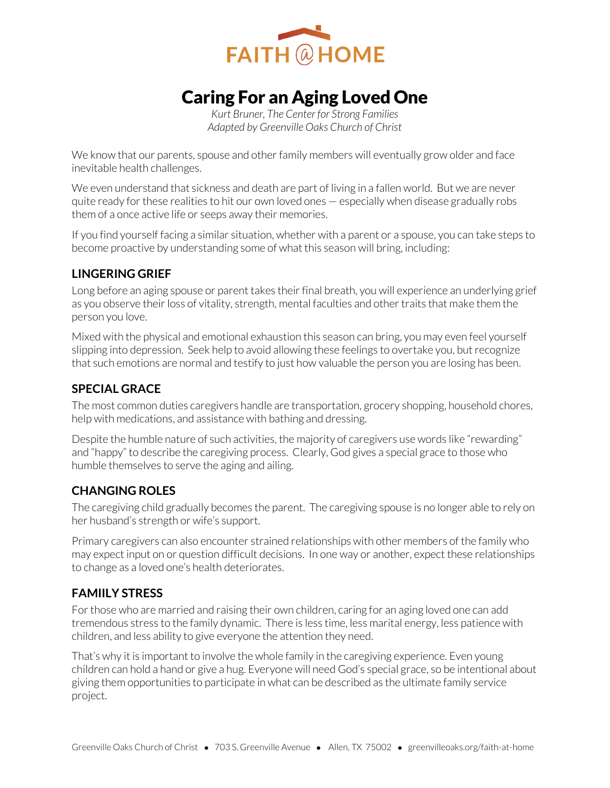

# Caring For an Aging Loved One

*Kurt Bruner, The Center for Strong Families Adapted by Greenville Oaks Church of Christ* 

We know that our parents, spouse and other family members will eventually grow older and face inevitable health challenges.

We even understand that sickness and death are part of living in a fallen world. But we are never quite ready for these realities to hit our own loved ones — especially when disease gradually robs them of a once active life or seeps away their memories.

If you find yourself facing a similar situation, whether with a parent or a spouse, you can take steps to become proactive by understanding some of what this season will bring, including:

### **LINGERING GRIEF**

Long before an aging spouse or parent takes their final breath, you will experience an underlying grief as you observe their loss of vitality, strength, mental faculties and other traits that make them the person you love.

Mixed with the physical and emotional exhaustion this season can bring, you may even feel yourself slipping into depression. Seek help to avoid allowing these feelings to overtake you, but recognize that such emotions are normal and testify to just how valuable the person you are losing has been.

### **SPECIAL GRACE**

The most common duties caregivers handle are transportation, grocery shopping, household chores, help with medications, and assistance with bathing and dressing.

Despite the humble nature of such activities, the majority of caregivers use words like "rewarding" and "happy" to describe the caregiving process. Clearly, God gives a special grace to those who humble themselves to serve the aging and ailing.

### **CHANGING ROLES**

The caregiving child gradually becomes the parent. The caregiving spouse is no longer able to rely on her husband's strength or wife's support.

Primary caregivers can also encounter strained relationships with other members of the family who may expect input on or question difficult decisions. In one way or another, expect these relationships to change as a loved one's health deteriorates.

### **FAMIILY STRESS**

For those who are married and raising their own children, caring for an aging loved one can add tremendous stress to the family dynamic. There is less time, less marital energy, less patience with children, and less ability to give everyone the attention they need.

That's why it is important to involve the whole family in the caregiving experience. Even young children can hold a hand or give a hug. Everyone will need God's special grace, so be intentional about giving them opportunities to participate in what can be described as the ultimate family service project.